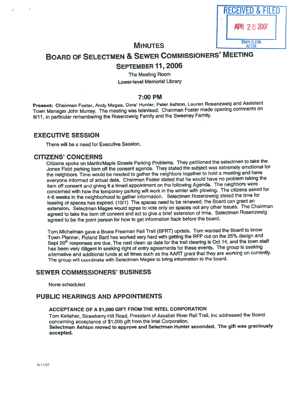| <b>RECEIVED &amp; FILED</b> |                   |
|-----------------------------|-------------------|
|                             | <b>2007</b>       |
|                             | <b>TOWN CLERK</b> |

# **MINUTES**

# BOARD OF SELECTMEN & SEWER CoMMIssIoNERs' MEETING SEPTEMBER 11,2006

The Meeting Room Lower-level Memorial Library

# 7:00 PM

Present: Chairman Foster, Andy Magee, Dore' Hunter, Peter Ashton, Lauren Rosenzweig and Assistant Town Manager John Murray. The meeting was televised. Chairman Foster made opening comments on 9/11, in particular remembering the Rosenzweig Family and the Sweeney Family.

# EXECUTIVE SESSION

There will be <sup>a</sup> need for Executive Session.

# CITIZENS' CONCERNS

Citizens spoke on Martin'Maple Streets Parking Problems. They petitioned the selectmen to take the Jones Field parking item off the consent agenda. They stated the subject was extremely emotional for the neighbors. Time would be needed to gather the neighbors together to hold <sup>a</sup> meeting and have everyone informed of actual data. Chairman Foster stated that he would have no problem taking the item off consent and <sup>g</sup>iving it <sup>a</sup> timed appointment on the following Agenda. The neighbors were concerned with how the temporary parking will work in the winter with <sup>p</sup>lowing. The citizens asked for 4-6 weeks in the neighborhood to gather information. Selectman Rosenzweig stated the time for leasing of spaces has expired. (10/1) The spaces need to be renewed, the Board can gran<sup>t</sup> an extension. Selectman Magee would agree to vote only on spaces not any other issues. The Chairman agree<sup>d</sup> to take the item off consent and act to <sup>g</sup>ive <sup>a</sup> brief extension of time. Selectman Rosenzweig agree<sup>d</sup> to be the point person for how to ge<sup>t</sup> information back before the board.

Tom Michelman gave <sup>a</sup> Bruce Freeman Rail Trail fBFRT) update. Tom wanted the Board to know Town Planner, Roland Bartl has worked very hard with getting the RFP out on the 25% design and Sept 20<sup>th</sup> responses are due. The next clean up date for the trail clearing is Oct 14, and the town staff has been very diligent in seeking right of entry agreements for these events. The group is seeking alternative and additional funds at all times such as the MRT gran<sup>t</sup> that they are working on currently. The group will coordinate with Selectman Magee to bring information to the board.

# SEWER COMMISSIONERS' BUSINESS

None scheduled

# PUBLIC HEARINGS AND APPOINTMENTS

#### ACCEPTANCE OF <sup>A</sup> \$1,000 GIFT FROM ThE INTEL CORPORATION

Tom Kelleher, Strawberry Hill Road, President of Assabet River Rail Trall, Inc addressed the Board concerning acceptance of \$1,000 <sup>g</sup>ift from the Intel Corporation. Selectman Ashton moved to approve and Selectman Hunter seconded. The <sup>g</sup>ift was graciously

accepted.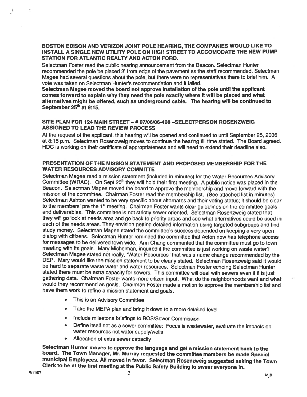#### BOSTON EDISON AND VERIZON JOINT POLE HEARING, THE COMPANIES WOULD LIKE TO INSTALL A SINGLE NEW UTILITY POLE ON HIGH STREET TO ACCOMODATE THE NEW PUMP STATION FOR ATLANTIC REALTY AND ACTON FORD.

Selectman Foster read the public hearing announcement from the Beacon. Selectman Hunter recommended the pole be <sup>p</sup>laced 3' from edge of the pavemen<sup>t</sup> as the staff recommended. Selectman Magee had several questions about the pole, but there were no representatives there to brief him. <sup>A</sup> vote was taken on Selectman Hunter's recommendation and it failed.

Selectman Magee moved the board not approve installation of the pole until the applicant comes forward to explain why they need the pole exactly where it will be <sup>p</sup>laced and what alternatives might be offered, such as underground cable. The hearing will be continued to September 25<sup>th</sup> at 9:15.

#### SITE PLAN FOR 124 MAIN STREET — # 07106106408 —SELECTPERSON ROSENZWEIG ASSIGNED TO LEAD THE REVIEW PROCESS

At the reques<sup>t</sup> of the applicant, this heating will be opened and continued to until September 25, 2006 at 8:15 p.m. Selectman Rosenzweig moves to continue the hearing till time stated. The Board agreed. HOC is working on their certificate of appropriateness and will need to extend their deadline also.

#### PRESENTATION OF THE MISSION STATEMENT AND PROPOSED MEMBERSHIP FOR THE WATER RESOURCES ADVISORY COMMITTE

Selectman Magee read <sup>a</sup> mission statement (included in minutes) for the Water Resources Advisory Committee (WRAC). On Sept 20<sup>th</sup> they will hold their first meeting. A public notice was placed in the Beacon. Selectman Magee moved the board to approve the membership and move forward with the mission of the committee. Chairman Foster read the membership list. (See attached list in minutes) Selectman Ashton wanted to be very specific about alternates and their voting status; it should be clear to the members' pre the 1<sup>st</sup> meeting. Chairman Foster wants clear guidelines on the committee goals and deliverables. This committee is not strictly sewer oriented. Selectman Rosenzweig stated that they will go look at needs area and go back to priority areas and see what alternatives could be used in each of the needs areas. They envision getting detailed information using targeted subgroups and find study money. Selectman Magee stated the committee's success depended on keeping <sup>a</sup> very open dialog with citizens. Selectman Hunter reminded the committee that Acton now has telephone access for messages to be delivered town wide. Ann Chang commented that the committee must go to town meeting with its goals. Mary Michelman, inquired if the committee is just working on waste water? Selectman Magee stated not really, "Water Resources" that was <sup>a</sup> name change recommended by the DEP. Mary would like the mission statement to be clearly stated. Selectman Rosenzweig said it would be hard to separate waste water and water resources. Selectman Foster echoing Selectman Hunter stated there must be extra capacity for sewers. This committee will deal with sewers even it it is just gathering data. Chairman Foster wants more citizen input. What do the neighborhoods want and what would they recommend as goals. Chairman Foster made <sup>a</sup> motion to approve the membership list and have them work to refine <sup>a</sup> mission statement and goals.

- •This is an Advisory Committee
- •Take the MEPA plan and bring it down to a more detailed level
- •Include milestone briefings to BOS/Sewer Commission
- • Define itself not as <sup>a</sup> sewer committee: Focus is wastewater, evaluate the impacts on water resources not water supply/wells
- •Allocation of extra sewer capacity

Selectman Hunter moves to approve the language and get a mission statement back to the<br>board. The Town Manager, Mr. Murray requested the committee members be made Special<br>municipal Employees. All moved in favor. Selectman Clerk to be at the first meeting at the Public Safety Building to swear everyone in.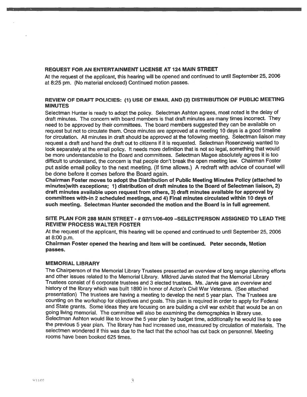#### REQUEST FOR AN ENTERTAINMENT LICENSE AT 124 MAIN STREET

At the reques<sup>t</sup> of the applicant, this hearing will be opene<sup>d</sup> and continued to until September 25, <sup>2006</sup> at 8:25 pm. (No material enclosed) Continued motion passes.

#### REVIEW OF DRAFT POLICIES: (1) USE OF EMAIL AND (2) DISTRIBUTION OF PUBLIC MEETING **MINUTES**

Selectman Hunter is ready to adopt the policy. Selectman Ashton agrees, most noted is the delay of draft minutes. The concern with board members is that draft minutes are many times incorrect. They need to be approve<sup>d</sup> by their committees. The board members suggested they can be available on reques<sup>t</sup> but not to circulate them. Once minutes are approve<sup>d</sup> at <sup>a</sup> meeting <sup>10</sup> days is <sup>a</sup> goo<sup>d</sup> timeline for circulation. All minutes in draft should be approve<sup>d</sup> at the following meeting. Selectman liaison may reques<sup>t</sup> <sup>a</sup> draft and hand the draft out to citizens if it is requested. Selectman Rosenzweig wanted to look separately at the email policy. It needs more definition that is not so legal, something that would be mote understandable to the Board and committees. Selectman Magee absolutely agrees it is too difficult to understand, the concern is that people don't break the open meeting law. Chairman Foster pu<sup>t</sup> aside email policy to the next meeting. (If time allows.) <sup>A</sup> redraft with advice of counsel will be done before it comes before the Board again.

Chairman Foster moves to adopt the Distribution of Public Meeting Minutes Policy (attached to minutes)with exceptions; 1) distribution of draft minutes to the Board of Selectman liaison, 2) draft minutes available upon reques<sup>t</sup> from others, 3) draft minutes available for approval by committees with-in 2 scheduled meetings, and 4) Final minutes circulated within 10 days of such meeting. Selectman Hunter seconded the motion and the Board is in full agreement.

#### SITE PLAN FOR 28\$ MAIN STREET - #07/71106-409 -SELECTPERSON ASSIGNED TO LEAD THE REVIEW PROCESS WALTER FOSTER

At the reques<sup>t</sup> of the applicant, this hearing will be opened and continued to until September 25, 2006 at 8:00 p.m.

#### Chairman Foster opened the hearing and item will be continued. Peter seconds, Motion passes.

#### MEMORIAL LIBRARY

The Chairperson of the Memorial Library Trustees presented an overview of long range <sup>p</sup>lanning efforts and other issues related to the Memorial Library. Mildred Jarvis stated that the Memorial Library Trustees consist of <sup>6</sup> corporate trustees and <sup>3</sup> elected trustees. Ms. Jarvis gave an overview and history of the library which was built 1890 in honor of Acton's Civil War Veterans. (See attached presentation) The trustees are having <sup>a</sup> meeting to develop the next <sup>5</sup> year <sup>p</sup>lan. The Trustees are counting on the workshop for objectives and goals. This <sup>p</sup>lan is requited in order to apply for Federal and State grants. Some ideas they are focusing on are building <sup>a</sup> civil war exhibit that would be an on going living memorial. The committee will also be examining the demographics in library use. Selectman Ashton would like to know the <sup>5</sup> year <sup>p</sup>lan by budget time, additionally he would like to see the previous <sup>5</sup> year <sup>p</sup>lan. The library has had increased use, measured by circulation of materials. The selectmen wondered if this was due to the fact that the school has cut back on personnel. Meeting rooms have been booked 625 times.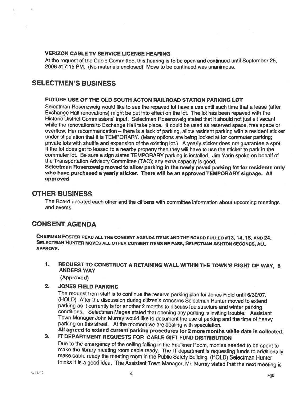### VERIZON CABLE TV SERVICE LICENSE HEARING

At the reques<sup>t</sup> of the Cable Committee, this hearing is to be open and continued until September 25, 2006 at 7:15 PM. (No materials enclosed) Move to be continued was unanimous.

# SELECTMEN'S BUSINESS

#### FUTURE USE OF THE OLD SOUTH ACTON RAILROAD STATION PARKING LOT

Selectman Rosenzweig would like to see the repaved lot have <sup>a</sup> use until such time that <sup>a</sup> lease (after Exchange Hall renovations) might be pu<sup>t</sup> into effect on the lot. The lot has been repaved with the Historic District Commissions' input. Selectman Rosenzweig stated that it should not just sit vacant while the renovations to Exchange Hall take <sup>p</sup>lace. It could be used as reserved space, free space or overflow. Her recommendation — there is <sup>a</sup> lack of parking, allow resident parking with <sup>a</sup> resident sticker under stipulation that it is TEMPORARY. (Many options are being looked at for commuter parking; private lots with shuttle and expansion of the existing lot.) <sup>A</sup> yearly sticker does not guarantee <sup>a</sup> spot. If the lot does ge<sup>t</sup> to leased to <sup>a</sup> nearby property then they will have to use the sticker to par<sup>k</sup> in the commuter lot. Be sure <sup>a</sup> sign states TEMPORARY parking is installed. Jim Yarin spoke on behalf of the Transportation Advisory Committee (TAC); any extra capacity is good.

Selectman Rosenzweig moved to allow parking in the newly pave<sup>d</sup> parking lot for residents only who have purchased <sup>a</sup> yearly sticker. There will be an approve<sup>d</sup> TEMPORARY signage. All approved

# OTHER BUSINESS

The Board updated each other and the citizens with committee information about upcoming meetings and events.

# CONSENT AGENDA

CHAIRMAN FOSTER READ ALL THE CONSENT AGENDA ITEMS AND THE BOARD PULLED #13, 14,15, AND 24. SELECTMAN HUNTER MOVES ALL OTHER CONSENT ITEMS BE PASS, SELECTMAN A5HTON SECONDS, ALL APPROVE.

1. REQUEST TO CONSTRUCT <sup>A</sup> RETAINING WALL WITHIN THE TOWN'S RIGHT OF WAY, <sup>6</sup> ANDERS WAY

(Approved)

#### 2. JONES FIELD PARKING

The reques<sup>t</sup> from staff is to continue the reserve parking <sup>p</sup>lan for Jones Field until 6/30/07. (HOLD) After the discussion during citizen's concerns Selectman Hunter moved to extend conditions. Selectman Magee stated that opening any parking is inviting trouble. Assistant Town Manager John Murray would like to document the use of parking and the time of heavy parking on this street. At the moment we a All agreed to extend current parking procedures for 2 more months while data is collected.

3. IT DEPARTMENT REQUESTS FOR CABLE GIFT FUND DISTRIBUTION Due to the emergency of the ceiling falling in the Faulkner Room, monies needed to be spent to make the library meeting room cable ready. The IT department is requesting funds to additionally make cable ready the meeting r thinks it is <sup>a</sup> goo<sup>d</sup> idea. The Assistant Town Manager, Mr. Murray stated that the next meeting is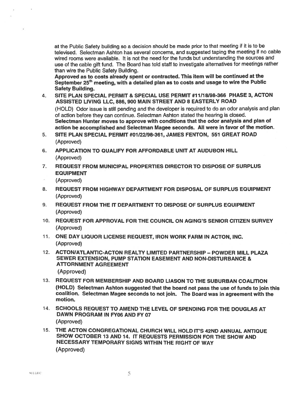at the Public Safety building so <sup>a</sup> decision should be made prior to that meeting if it is to be televised. Selectman Ashton has several concerns, and suggested taping the meeting if no cable wired rooms were available. It is not the need for the funds but understanding the sources and use of the cable <sup>g</sup>ift fund. The Board has told staff to investigate alternatives for meetings rather than wire the Public Safety Building.

Approved as to costs already spen<sup>t</sup> or contracted. This item will be continued at the September 25<sup>th</sup> meeting, with a detailed plan as to costs and usage to wire the Public Safety Building.

- 4. SiTE PLAN SPECIAL PERMIT & SPECIAL USE PERMIT #71/18198-366 PHASE 3, ACTON ASSISTED LIVING LLC, 886, 900 MAIN STREET AND 8 EASTERLY ROAD (HOLD) Odor issue is still pending and the developer is requited to do an odor analysis and <sup>p</sup>lan of action before they can continue. Selectman Ashton stated the hearing is closed. Selectman Hunter moves to approve with conditions that the odor analysis and <sup>p</sup>lan of action be accomplished and Selectman Magee seconds. All were in favor of the motion.
- 5. SITE PLAN SPECIAL PERMIT #01/22198-361, JAMES FENTON, 551 GREAT ROAD (Approved)
- 6. APPLICATION TO QUALIFY FOR AFFORDABLE UNIT AT AUDUBON HILL (Approved)
- 7. REQUEST FROM MUNICIPAL PROPERTIES DIRECTOR TO DISPOSE OF SURPLUS EQUIPMENT
	- (Approved)
- 8. REQUEST FROM HIGHWAY DEPARTMENT FOR DISPOSAL OF SURPLUS EQUIPMENT (Approved)
- 9. REQUEST FROM THE IT DEPARTMENT TO DISPOSE OF SURPLUS EQUIPMENT (Approved)
- 10. REQUEST FOR APPROVAL FOR THE COUNCIL ON AGING'S SENIOR CITIZEN SURVEY (Approved)
- 11. ONE DAY LIQUOR LICENSE REQUEST, IRON WORK FARM IN ACTON, INC. (Approved)
- 12. ACTON/ATLANTIC-ACTON REALTY LIMITED PARTNERSHIP POWDER MILL PLAZA SEWER EXTENSION, PUMP STATION EASEMENT AND NON-DISTURBANCE & ATORNMENT AGREEMENT (Approved)
- 13. REQUEST FOR MEMBERSHIP AND BOARD LIASON TO THE SUBURBAN COALITION (HOLD) Selectman Ashton suggested that the board not pass the use of funds to join this coalition. Selectman Magee seconds to not join. The Board was in agreemen<sup>t</sup> with the motion.
- 14. SCHOOLS REQUEST TO AMEND THE LEVEL OF SPENDING FOR THE DOUGLAS AT DAWN PROGRAM IN FY06 AND FY 07 (Approved)
- 75. ThE ACTON CONGREGATIONAL CHURCH WILL HOLD IT'S 42ND ANNUAL ANTIQUE SHOW OCTOBER 13 AND 14. IT REQUESTS PERMISSION FOR ThE SHOW AND NECESSARY TEMPORARY SIGNS WITHIN THE RIGHT OF WAY (Approved)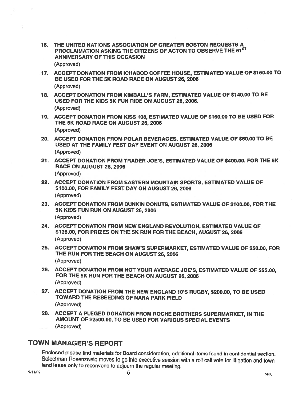- 16. THE UNITED NATIONS ASSOCIATION OF GREATER BOSTON REQUESTS A PROCLAIMATION ASKING THE CITIZENS OF ACTON TO OBSERVE THE 61ST ANNIVERSARY OF THIS OCCASION (Approved)
- 17. ACCEPT DONATION FROM ICHABOD COFFEE HOUSE, ESTIMATED VALUE OF \$150.00 TO BE USED FOR THE 5K ROAD RACE ON AUGUST 26, 2006 (Approved)
- 18. ACCEPT DONATION FROM KIMBALL'S FARM, ESTiMATED VALUE OF \$140.00 TO BE USED FOR THE KIDS 5K FUN RIDE ON AUGUST 26, 2006. (Approved)
- 19. ACCEPT DONATION FROM KISS 108, ESTIMATED VALUE OF \$760.00 TO BE USED FOR THE 5K ROAD RACE ON AUGUST 26, 2006 (Approved)
- 20. ACCEPT DONATION FROM POLAR BEVERAGES, ESTIMATED VALUE OF \$60.00 TO BE USED AT THE FAMILY FEST DAY EVENT ON AUGUST 26, 2006 (Approved)
- 21. ACCEPT DONATION FROM TRADER JOE'S, ESTIMATED VALUE OF \$400.00, FOR THE 5K RACE ON AUGUST 26,2006 (Approved)
- 22. ACCEPT DONATION FROM EASTERN MOUNTAIN SPORTS, ESTIMATED VALUE OF \$100.00, FOR FAMILY FEST DAY ON AUGUST 26, 2006 (Approved)
- 23. ACCEPT DONATION FROM DUNKIN DONUTS, ESTIMATED VALUE OF \$100.00, FOR THE 5K KIDS FUN RUN ON AUGUST 26, 2006 (Approved)
- 24. ACCEPT DONATION FROM NEW ENGLAND REVOLUTION, ESTIMATED VALUE OF \$136.00, FOR PRIZES ON ThE 5K RUN FOR THE BEACH, AUGUST 26, 2006 (Approved)
- 25. ACCEPT DONATION FROM SHAW'S SUPERMARKET, ESTIMATED VALUE OF \$50.00, FOR THE RUN FOR THE BEACH ON AUGUST 26, 2006 (Approved)
- 26. ACCEPT DONATION FROM NOT YOUR AVERAGE JOE'S, ESTIMATED VALUE OF \$25.00, FOR THE 5K RUN FOR THE BEACH ON AUGUST 26, 2006 (Approved)
- 27. ACCEPT DONATION FROM THE NEW ENGLAND 10'S RUGBY, \$200.00, TO BE USED TOWARD ThE RESEEDING OF NARA PARK FIELD (Approved)
- 28. ACCEPT <sup>A</sup> PLEGED DONATION FROM ROCHE BROTHERS SUPERMARKET, IN THE AMOUNT OF \$2500.00, TO BE USED FOR VARIOUS SPECIAL EVENTS (Approved)

# TOWN MANAGER'S REPORT

Enclosed <sup>p</sup>lease find materiats for Board consideration, additional items found in confidential section. Selectman Rosenzweig moves to go into executive session with a roll call vote for litigation and town land lease only to reconvene to adjourn the regular meeting.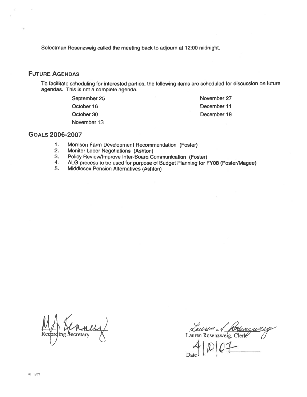Selectman Rosenzweig called the meeting back to adjourn at 12:00 midnight.

# FUTURE AGENDAS

To facilitate scheduling for interested parties, the following items are scheduled for discussion on future agendas. This is not <sup>a</sup> complete agenda.

> September 25 October 16 October 30 November 13

November 27 December 11 December 18

#### GOALS 2006-2007

- 1. Morrison Farm Development Recommendation (Foster)<br>2. Monitor Labor Negotiations (Ashton)
- Monitor Labor Negotiations (Ashton)
- 3. Policy Review/Improve Inter-Board Communication (Foster)<br>4. ALG process to be used for purpose of Budget Planning for F
- 4. ALG process to be used for purpose of Budget Planning for FY08 (Foster/Magee)<br>5. Middlesex Pension Alternatives (Ashton)
- Middlesex Pension Alternatives (Ashton)

ecretary

<u>Lauren</u> 1 Korenzur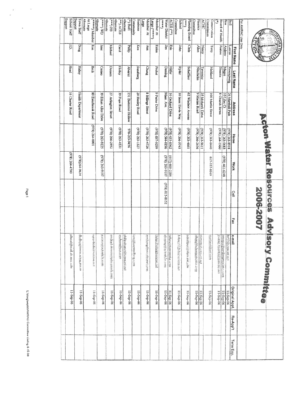| <b>FORA</b>                                                                                            |                   |                  |                      |                |                |                |            | <b>Acton Water Resources Advisory Committee</b> |                   |          |           |
|--------------------------------------------------------------------------------------------------------|-------------------|------------------|----------------------|----------------|----------------|----------------|------------|-------------------------------------------------|-------------------|----------|-----------|
|                                                                                                        |                   |                  |                      |                |                | 2002-2007      |            |                                                 |                   |          |           |
| For AWRAC Use Only                                                                                     |                   |                  |                      |                |                |                |            |                                                 |                   |          |           |
|                                                                                                        | <b>First Name</b> | <b>Last Name</b> | Address              | Home           | <b>Work</b>    | Celi           | <b>Fax</b> | e-mail                                          | Original Appt.    |          |           |
| <b>BoS</b>                                                                                             | Lauren            | Roscnzweig       | 26 Marshall Path     | 8168-E9Z (RL6) |                |                |            | <b>kr57@comcast.net</b>                         | 11-Sep-06         | Re-App't | Term Exp. |
| <b>Bos</b>                                                                                             | Andrew            | Magee            | 10 Lilac Ct          | (978) 263-0683 | (978) 461-6248 |                |            | amage @pepsitonasseciates.com                   | 11-Sep-06         |          |           |
| Board of Health<br>Э                                                                                   | Joanne            | Bissetta         | 8 Church Street      | (978) 264-1960 |                |                |            | joanne Fissetta@ecomeast.net                    | 11-Sep-06         |          |           |
| Commission<br>Conservation                                                                             | Teny              | Maitland         | 100 Martin Street    | (978) 263-0440 | 617-357-8949   |                |            | moa lon@llutellinm                              | $11-5ep-06$       |          |           |
| <b>ACHC</b>                                                                                            | Nancy             | Tavenier         | 35 Mohawk Drive      | (978) 263-9611 |                |                |            | поставорение вы                                 | $11 - 5 = p - 06$ |          |           |
| Committee<br>Finance                                                                                   | Allen             | Nitschelm        | 9 Marian Road        | (978) 266-2456 |                |                |            | allengeltelsamesteader.com                      | 11-Sep-06         |          |           |
| Planning Board<br>$\frac{1}{2}$                                                                        | Chris             | Schaffner        | 62 Windsor Avenue    | (978) 263-4661 |                |                |            | schaftber@baham.pric.chr                        | 11-Sep-06         |          |           |
| Committee<br>School                                                                                    | <b>Tohn</b>       | Ryder            | 10 laase Davis Way   | (978) 266-9745 |                |                |            | Juliaty9226(t@vsriizenial                       | 11-Sep-06         |          |           |
| ACES (**)                                                                                              | Enc               | <b>Hilfer</b>    | 16 Orchard Drive     | (978) 635-8362 | (617) 600-2284 |                |            | hilterconomsuyder.com                           | 11-Sep-06         |          |           |
| Water District<br>$\left(\frac{1}{2}+\frac{1}{2}+\frac{1}{2}\right)$                                   | Jm                | Deming           | Mass. Ave.           | 978) 544-0196  | LO16-E9Z (RLG) | (978) 815-8152 |            | <b>Reminging to the Louis</b>                   | 11-Sep-06         |          |           |
| Member At<br>$\lim_{n \to \infty} e^{i n + n}$                                                         | <b>Hiclen</b>     | Probat           | 9 Putter Drive       | (978) 897-9299 |                |                |            | Helun Probst@verizon net                        | 11-Sep-06         |          |           |
| Member At<br>$rac{1}{2}$                                                                               | Ущ                |                  | 8 Hillings Street    | (978) 263-4726 |                |                |            | morpanginaling and recept                       | 11-Sep-06         |          |           |
| Community<br>Business                                                                                  | Ken               | Sundberg         | 20 Henley Road       | (978) 263-1327 |                |                |            | ken@kensundberg.com                             | 11-Sep-Uó         |          |           |
| <b>Alternate</b><br>(*) BoH                                                                            | <b>Chility</b>    | <b>ZOJEATV</b>   | 151 Butternut Hollow | 978-263-9456   |                |                |            | philapalvarez@conteastate                       | 11-Sep-06         |          |           |
| <b>Alternate</b><br>(**) ACES                                                                          | Carol             | [I folley        | 39 Pope Road         | (978) 263-4531 |                |                |            | asebros@en.com                                  | $11 - 5ep - 06$   |          |           |
| <b>Alternate</b><br>$G_{cl}$ $\left( \begin{smallmatrix} 1 & 0 \\ 0 & 1 & 0 \end{smallmatrix} \right)$ | <b>Michael</b>    | Denaen           | 27 Arlington Street  | (978) 266-2952 |                |                |            | michael densen@hblacemark.com                   | $11 - S$ cp-06    |          |           |
| <b>Alternate</b><br>$CM$ $(***)$                                                                       | Jane              | Ceraio           | 39 Ethan Allen Drive | (978) 263-9228 | L016-E9Z (8L6) |                |            | jectasogarcionisto.com                          | $11-5$ ep-06      |          |           |
| <b>Alternate</b><br>At Large<br>(*****) Member Ron                                                     |                   | Beck             | 80 Esterbrook Road   | (978) 264-0001 |                |                |            | squashtalki@wenzon.net                          | 11-Sep-06         |          |           |
| poddn <sub>S</sub><br>Town Staff                                                                       | Bnog <sub>1</sub> | <b>Halley</b>    | Health Department    |                | FE96-P92(8L6)  |                |            | dhalley@town.acton.artua                        | 11-Sep-06         |          |           |
| Support<br><b>School Staff</b>                                                                         | Ğ                 | Head             | 16 Charter Road      |                | (978) 264-4700 |                |            | jdhead@mail.ab.mee.edu                          | 11-Sep-06         |          |           |
|                                                                                                        |                   |                  |                      |                |                |                |            |                                                 |                   |          |           |

Page 1

0 C C C a a

r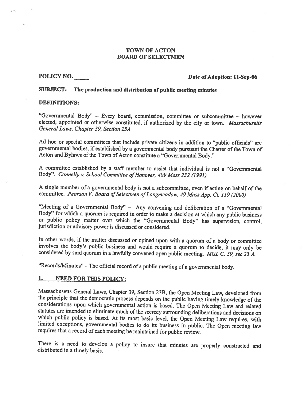#### TOWN OF ACTON BOARD OF SELECTMEN

#### POLICY NO. Date of Adoption: 11-Sep-06

#### SUBJECT: The production and distribution of public meeting minutes

#### DEFINITIONS:

"Governmental Body" — Every board, commission, committee or subcommittee — however elected, appointed or otherwise constituted, if authorized by the city or town. Massachusetts General Laws, Chapter 39, Section 23A

Ad hoc or special committees that include private citizens in addition to "public officials" are governmental bodies, if established by a governmental body pursuant the Charter of the Town of Acton and Bylaws of the Town of Acton constitute <sup>a</sup> "Governmental Body."

A committee established by <sup>a</sup> staff member to assist that individual is not <sup>a</sup> "Governmental Body". Connelly v. School Committee of Hanover, 409 Mass 232 (1991)

<sup>A</sup> single member of <sup>a</sup> governmental body is not <sup>a</sup> subcommittee, even if acting on behalf of the committee. Pearson V. Board of Selectmen of Longmeadow, 49 Mass App. Ct. 119 (2000)

"Meeting of <sup>a</sup> Governmental Body" — Any convening and deliberation of <sup>a</sup> "Governmental Body" for which <sup>a</sup> quorum is required in order to make <sup>a</sup> decision at which any public business or public policy matter over which the "Governmental Body" has supervision, control, jurisdiction or advisory power is discussed or considered.

In other words, if the matter discussed or opined upon with a quorum of a body or committee involves the body's public business and would require a quorum to decide, it may only be considered by said quorum in a lawfully

"Records/Minutes" — The official record of <sup>a</sup> public meeting of <sup>a</sup> governmental body.

#### 1. NEED FOR THIS POLICY:

Massachusetts General Laws, Chapter 39, Section 23B, the Open Meeting Law, developed from<br>the principle that the democratic process depends on the public having timely knowledge of the<br>considerations upon which governmenta requires that <sup>a</sup> record of each meeting be maintained for public review.

There is a need to develop a policy to insure that minutes are properly constructed and distributed in a timely basis.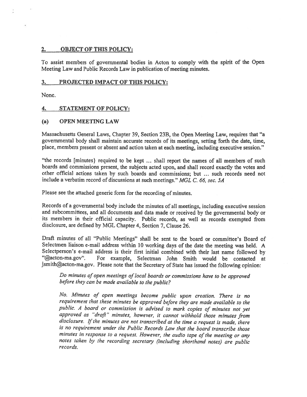#### 2. OBJECT OF THIS POLICY:

To assist members of governmental bodies in Acton to comply with the spirit of the Open Meeting Law and Public Records Law in publication of meeting minutes.

#### 3. PROJECTED IMPACT OF THIS POLICY:

None.

#### 4. STATEMENT OF POLICY:

#### (a) OPEN MEETING LAW

Massachusetts General Laws, Chapter 39, Section 23B, the Open Meeting Law, requires that "a governmental body shall maintain accurate records of its meetings, setting forth the date, time, <sup>p</sup>lace, members presen<sup>t</sup> or absent and action taken at each meeting, including executive session."

"the records [minutes) required to be kept ... shall repor<sup>t</sup> the names of all members of such boards and commissions present, the subjects acted upon, and shall record exactly the votes and other official actions taken by such boards and commissions; but ... such records need not include <sup>a</sup> verbatim record of discussions at such meetings." MGL C. 66, sec. 5A

Please see the attached generic form for the recording of minutes.

Records of <sup>a</sup> governmental body include the minutes of all meetings, including executive session and subcommittees, and all documents and data made or received by the governmental body or its members in their official capacity. Public records, as well as records exempted from disclosure, are defined by MGL Chapter 4, Section 7, Clause 26.

Draft minutes of all "Public Meetings" shall be sent to the board or committee's Board of Selectmen liaison e-mail address within <sup>10</sup> working days of the date the meeting was held. <sup>A</sup> Selectperson's e-mail address is their first initial combined with their last name followed by<br>"@acton-ma.gov". For example. Selectman John Smith would be contacted at For example, Selectman John Smith would be contacted at jsmith@acton-ma.gov. Please note that the Secretary of State has issued the following opinion:

Do minutes of open meetings of local boards or commissions have to be approved before they can be made available to the public?

No. Minutes of open meetings become public upon creation. There is no requirement that these minutes be approve<sup>d</sup> before they are made available to the public. <sup>A</sup> board or commission is advised to mark copies of minutes not ye<sup>t</sup> approved as "draft" minutes, however, it cannot withhold those minutes from disclosure. If the minutes are not transcribed at the time a request is made, there is no requirement under the Public Records Law that the board transcribe those minutes in response to <sup>a</sup> request. However, the audio tape of the meeting or any notes taken by the recording secretary (including shorthand notes) are public records.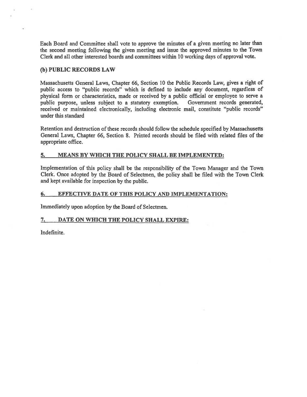Each Board and Committee shall vote to approve the minutes of <sup>a</sup> <sup>g</sup>iven meeting no later than the second meeting following the <sup>g</sup>iven meeting and issue the approved minutes to the Town Clerk and all other interested boards and committees within 10 working days of approval vote.

#### (b) PUBLIC RECORDS LAW

Massachusetts General Laws, Chapter 66, Section 10 the Public Records Law, gives <sup>a</sup> right of public access to "public records" which is defined to include any document, regardless of physical form or characteristics, made or received by <sup>a</sup> public official or employee to serve <sup>a</sup> public purpose, unless subject to <sup>a</sup> statutory exemption. Government records generated, received or maintained electronically, including electronic mail, constitute "public records" under this standard

Retention and destruction of these records should follow the schedule specified by Massachusetts General Laws, Chapter 66, Section 8. Printed records should be filed with related files of the appropriate office.

#### 5. MEANS BY WHICH THE POLICY SHALL BE IMPLEMENTED:

Implementation of this policy shall be the responsibility of the Town Manager and the Town Clerk. Once adopted by the Board of Selectmen, the policy shall be filed with the Town Clerk and kept available for inspection by the public.

#### 6. EFFECTIVE DATE OF THIS POLICY AND IMPLEMENTATION:

Immediately upon adoption by the Board of Selectmen.

#### 7. DATE ON WHICH THE POLICY SHALL EXPIRE:

Indefinite.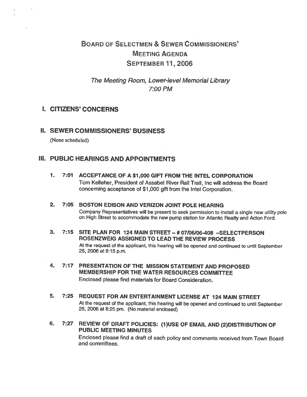# BOARD OF SELEcTMEN & SEWER COMMISSIONERS' MEETING AGENDA SEPTEMBER 11,2006

The Meeting Room, Lower-level Memorial Library 7:00 PM

# I. CITIZENS' CONCERNS

H. SEWER COMMISSIONERS' BUSINESS

(None scheduled)

# III. PUBLIC HEARINGS AND APPOINTMENTS

- 1. 7:07 ACCEPTANCE OF A \$1,000 GIFT FROM THE INTEL CORPORATION Tom Kelleher, President of Assabet River Rail Trail, Inc will address the Board concerning acceptance of \$1 ,<sup>000</sup> gift from the Intel Corporation.
- 2. 7:05 BOSTON EDISON AND VERIZON JOINT POLE HEARING Company Representatives will be present to seek permission to install <sup>a</sup> single new utility pole on High Street to accommodate the new pump station for Atlantic Really and Acton Ford.
- 3. 7:15 SITE PLAN FOR 724 MAIN STREET # 07106106-408 —SELECTPERSON ROSENZWEIG ASSIGNED TO LEAD THE REVIEW PROCESS At the request of the applicant, this hearing will be opened and continued to until September 25, <sup>2006</sup> at 8:15 p.m.
- 4. 7:17 PRESENTATION OF THE MISSION STATEMENT AND PROPOSED MEMBERSHIP FOR THE WATER RESOURCES COMMITTEE Enclosed please find materials for Board Consideration.
- 5. 7:25 REQUEST FOR AN ENTERTAINMENT LICENSE AT 724 MAIN STREET At the request of the applicant, this hearing will be opened and continued to until September 25, <sup>2006</sup> at 8:25 pm. (No material enclosed)
- 6. 7:27 REVIEW OF DRAFT POLICIES: (1)USE OF EMAIL AND (2)DISTRIBUTION OF PUBLIC MEETING MINUTES Enclosed <sup>p</sup>lease find <sup>a</sup> draft of each policy and comments received from Town Board and committees.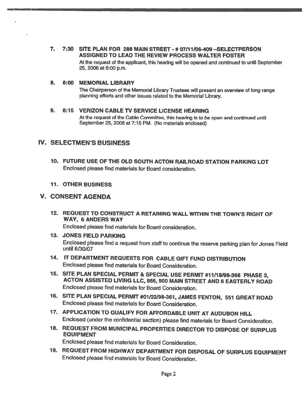7. 7:30 SITE PLAN FOR 288 MAIN STREET - # 07111106-409 —SELECTPERSON ASSIGNED TO LEAD THE REVIEW PROCESS WALTER FOSTER At the request of the applicant, this hearing will be opened and continued to until September 25, 2006 at 8:00 p.m.

#### 8. 8:00 MEMORIAL LIBRARY

The Chairperson of the Memorial Library Trustees will present an overview of long range <sup>p</sup>lanning efforts and other issues related to the Memorial library.

# 9. 8:15 VERIZON CABLE TV SERVICE LICENSE HEARING At the request of the Cable Committee, this hearing is to be open and continued until September 25, 2006 at 7:15 PM. (No materials enclosed)

# IV. SELECTMEN'S BUSINESS

10. FUTURE USE OF THE OLD SOUTH ACTON RAILROAD STATION PARKING LOT Enclosed please find materials for Board consideration.

# 11. OTHER BUSINESS

# V. CONSENT AGENDA

12. REQUEST TO CONSTRUCT A RETAINING WAIL WITHIN THE TOWN'S RIGHT OF WAY, 6ANDERS WAY

Enclosed please find materials for Board consideration.

- 13. JONES FIELD PARKING Enclosed <sup>p</sup>lease find <sup>a</sup> request from staff to continue the reserve parking <sup>p</sup>lan for Jones Field until 6/30/07
- 14. IT DEPARTMENT REQUESTS FOR CABLE GIFT FUND DISTRIBUTION Enclosed please find materials for Board Consideration.
- 15. SITE PLAN SPECIAL PERMIT & SPECIAL USE PERMIT #11/18/98-366 PHASE 3,<br>ACTON ASSISTED LIVING LLC, 886, 900 MAIN STREET AND 8 EASTERLY ROAD Enclosed please find materials for Board Consideration.
- 16. SITE PLAN SPECIAL PERMIT #01/22/98-361, JAMES FENTON, 551 GREAT ROAD Enclosed please find materials for Board Consideration.
- 17. APPLICATiON TO QUALIFY FOR AFFORDABLE UNIT AT AUDUBON HILL Enclosed (under the confidential section) <sup>p</sup>lease find materials for Board Consideration.
- 18. REQUEST FROM MUNICIPAL PROPERTIES DIRECTOR TO DISPOSE OF SURPLUS EQUIPMENT

Enclosed please find materials for Board Consideration.

19. REQUEST FROM HIGHWAY DEPARTMENT FOR DISPOSAL OF SURPLUS EQUIPMENT Enclosed please find materials for Board Consideration.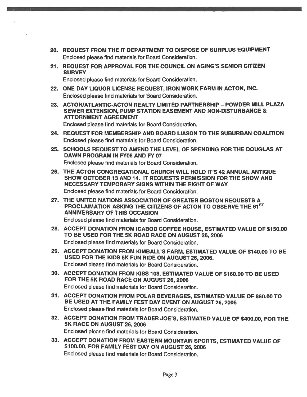- 20. REQUEST FROM THE IT DEPARTMENT TO DISPOSE OF SURPLUS EQUIPMENT Enclosed please find materials for Board Consideration.
- 21. REQUEST FOR APPROVAL FOR THE COUNCIL ON AGING'S SENIOR CITIZEN **SURVEY**

Enclosed please find materials for Board Consideration.

- 22. ONE DAY LIQUOR LICENSE REQUEST, IRON WORK FARM IN ACTON, INC. Enclosed <sup>p</sup>lease find materials for Board Consideration.
- 23. ACTON/ATLANTIC-ACTON REALTY LIMITED PARTNERSHIP POWDER MILL PLAZA SEWER EXTENSION, PUMP STATiON EASEMENT AND NON-DISTURBANCE & **ATTORNMENT AGREEMENT** Enclosed please find materials for Board Consideration.
- 24. REQUEST FOR MEMBERSHIP AND BOARD LIASON TO THE SUBURBAN COALITION Enclosed please find materials for Board Consideration.
- 25. SCHOOLS REQUEST TO AMEND THE LEVEL OF SPENDING FOR THE DOUGLAS AT DAWN PROGRAM IN FY06 AND FY 07 Enclosed please find materials for Board Consideration.
- 26. THE ACTON CONGREGATIONAL CHURCH WILL HOLD IT'S 42 ANNUAL ANTIQUE SHOW OCTOBER 13 AND 14. IT REQUESTS PERMISSION FOR THE SHOW AND NECESSARY TEMPORARY SIGNS WITHIN THE RIGHT OF WAY Enclosed please find materials for Board Consideration.
- 27. THE UNITED NATIONS ASSOCIATION OF GREATER BOSTON REQUESTS A PROCLAIMATION ASKING THE CITIZENS OF ACTON TO OBSERVE THE 61ST ANNIVERSARY OF THIS OCCASION Enclosed please find materials for Board Consideration.
- 28. ACCEPT DONATiON FROM ICABOD COFFEE HOUSE, ESTIMATED VALUE OF \$150.00 TO BE USED FOR THE 5K ROAD RACE ON AUGUST 26, 2006 Enclosed please find materials for Board Consideration.
- 29. ACCEPT DONATION FROM KIMBALL'S FARM, ESTIMATED VALUE OF \$140.00 TO BE USED FOR THE KIDS 5K FUN RIDE ON AUGUST 26, 2006. Enclosed please find materials for Board Consideration.
- 30. ACCEPT DONATION FROM KISS 108, ESTiMATED VALUE OF \$160.00 TO BE USED FOR THE 5K ROAD RACE ON AUGUST 26, 2006 Enclosed please find materials for Board Consideration.
- 31. ACCEPT DONATION FROM POLAR BEVERAGES, ESTIMATED VALUE OF \$60.00 TO BE USED AT THE FAMILY FEST DAY EVENT ON AUGUST 26, 2006 Enclosed please find materials for Board Consideration.
- 32. ACCEPT DONATION FROM TRADER JOE'S, ESTIMATED VALUE OF \$400.00, FOR THE 5K RACE ON AUGUST 26, 2006 Enclosed please find materials for Board Consideration.
- 33. ACCEPT DONATION FROM EASTERN MOUNTAIN SPORTS, ESTIMATED VALUE OF \$100.00, FOR FAMILY FEST DAY ON AUGUST 26, <sup>2006</sup> Enclosed please find materials for Board Consideration.